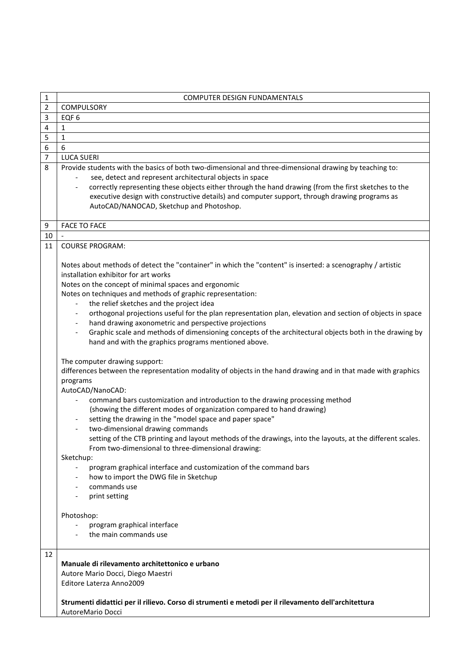| $\mathbf{1}$   | <b>COMPUTER DESIGN FUNDAMENTALS</b>                                                                                                                                                                                                                                                                                                                                                                                                                                                                                                                                                                                                                                                                                                                                                                                                             |
|----------------|-------------------------------------------------------------------------------------------------------------------------------------------------------------------------------------------------------------------------------------------------------------------------------------------------------------------------------------------------------------------------------------------------------------------------------------------------------------------------------------------------------------------------------------------------------------------------------------------------------------------------------------------------------------------------------------------------------------------------------------------------------------------------------------------------------------------------------------------------|
| $\overline{2}$ | <b>COMPULSORY</b>                                                                                                                                                                                                                                                                                                                                                                                                                                                                                                                                                                                                                                                                                                                                                                                                                               |
| 3              | EQF <sub>6</sub>                                                                                                                                                                                                                                                                                                                                                                                                                                                                                                                                                                                                                                                                                                                                                                                                                                |
| 4              | $\mathbf{1}$                                                                                                                                                                                                                                                                                                                                                                                                                                                                                                                                                                                                                                                                                                                                                                                                                                    |
| 5              | $\mathbf 1$                                                                                                                                                                                                                                                                                                                                                                                                                                                                                                                                                                                                                                                                                                                                                                                                                                     |
| 6              | 6                                                                                                                                                                                                                                                                                                                                                                                                                                                                                                                                                                                                                                                                                                                                                                                                                                               |
| 7              | <b>LUCA SUERI</b>                                                                                                                                                                                                                                                                                                                                                                                                                                                                                                                                                                                                                                                                                                                                                                                                                               |
| 8              | Provide students with the basics of both two-dimensional and three-dimensional drawing by teaching to:                                                                                                                                                                                                                                                                                                                                                                                                                                                                                                                                                                                                                                                                                                                                          |
|                | see, detect and represent architectural objects in space                                                                                                                                                                                                                                                                                                                                                                                                                                                                                                                                                                                                                                                                                                                                                                                        |
|                | correctly representing these objects either through the hand drawing (from the first sketches to the<br>executive design with constructive details) and computer support, through drawing programs as<br>AutoCAD/NANOCAD, Sketchup and Photoshop.                                                                                                                                                                                                                                                                                                                                                                                                                                                                                                                                                                                               |
| 9              | <b>FACE TO FACE</b>                                                                                                                                                                                                                                                                                                                                                                                                                                                                                                                                                                                                                                                                                                                                                                                                                             |
| 10             |                                                                                                                                                                                                                                                                                                                                                                                                                                                                                                                                                                                                                                                                                                                                                                                                                                                 |
| 11             | <b>COURSE PROGRAM:</b>                                                                                                                                                                                                                                                                                                                                                                                                                                                                                                                                                                                                                                                                                                                                                                                                                          |
|                |                                                                                                                                                                                                                                                                                                                                                                                                                                                                                                                                                                                                                                                                                                                                                                                                                                                 |
|                | Notes about methods of detect the "container" in which the "content" is inserted: a scenography / artistic                                                                                                                                                                                                                                                                                                                                                                                                                                                                                                                                                                                                                                                                                                                                      |
|                | installation exhibitor for art works                                                                                                                                                                                                                                                                                                                                                                                                                                                                                                                                                                                                                                                                                                                                                                                                            |
|                | Notes on the concept of minimal spaces and ergonomic                                                                                                                                                                                                                                                                                                                                                                                                                                                                                                                                                                                                                                                                                                                                                                                            |
|                | Notes on techniques and methods of graphic representation:                                                                                                                                                                                                                                                                                                                                                                                                                                                                                                                                                                                                                                                                                                                                                                                      |
|                | the relief sketches and the project idea                                                                                                                                                                                                                                                                                                                                                                                                                                                                                                                                                                                                                                                                                                                                                                                                        |
|                | orthogonal projections useful for the plan representation plan, elevation and section of objects in space                                                                                                                                                                                                                                                                                                                                                                                                                                                                                                                                                                                                                                                                                                                                       |
|                | hand drawing axonometric and perspective projections                                                                                                                                                                                                                                                                                                                                                                                                                                                                                                                                                                                                                                                                                                                                                                                            |
|                | Graphic scale and methods of dimensioning concepts of the architectural objects both in the drawing by                                                                                                                                                                                                                                                                                                                                                                                                                                                                                                                                                                                                                                                                                                                                          |
|                | hand and with the graphics programs mentioned above.                                                                                                                                                                                                                                                                                                                                                                                                                                                                                                                                                                                                                                                                                                                                                                                            |
|                | The computer drawing support:<br>differences between the representation modality of objects in the hand drawing and in that made with graphics<br>programs<br>AutoCAD/NanoCAD:<br>command bars customization and introduction to the drawing processing method<br>(showing the different modes of organization compared to hand drawing)<br>setting the drawing in the "model space and paper space"<br>two-dimensional drawing commands<br>setting of the CTB printing and layout methods of the drawings, into the layouts, at the different scales.<br>From two-dimensional to three-dimensional drawing:<br>Sketchup:<br>program graphical interface and customization of the command bars<br>how to import the DWG file in Sketchup<br>commands use<br>print setting<br>Photoshop:<br>program graphical interface<br>the main commands use |
| 12             |                                                                                                                                                                                                                                                                                                                                                                                                                                                                                                                                                                                                                                                                                                                                                                                                                                                 |
|                | Manuale di rilevamento architettonico e urbano                                                                                                                                                                                                                                                                                                                                                                                                                                                                                                                                                                                                                                                                                                                                                                                                  |
|                | Autore Mario Docci, Diego Maestri                                                                                                                                                                                                                                                                                                                                                                                                                                                                                                                                                                                                                                                                                                                                                                                                               |
|                | Editore Laterza Anno2009                                                                                                                                                                                                                                                                                                                                                                                                                                                                                                                                                                                                                                                                                                                                                                                                                        |
|                | Strumenti didattici per il rilievo. Corso di strumenti e metodi per il rilevamento dell'architettura<br>AutoreMario Docci                                                                                                                                                                                                                                                                                                                                                                                                                                                                                                                                                                                                                                                                                                                       |